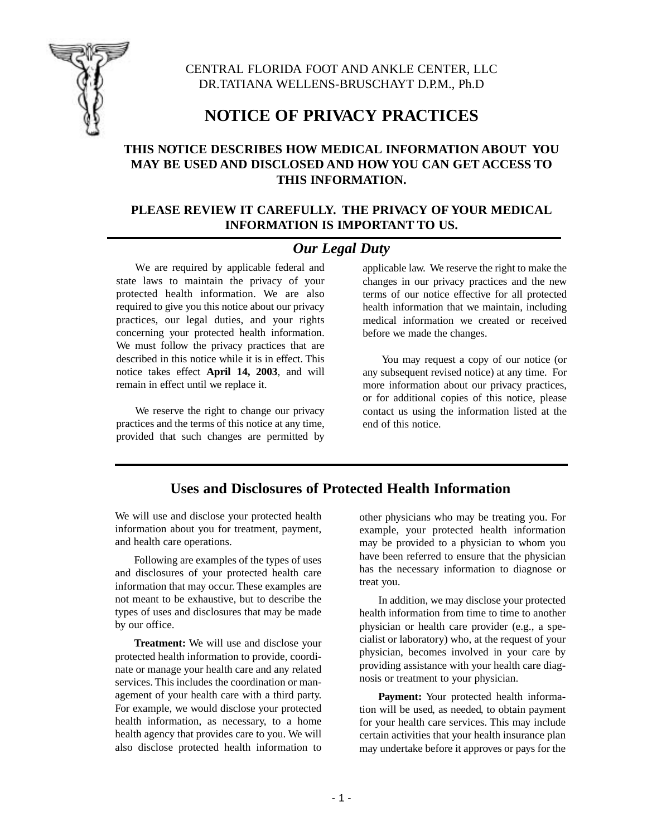

CENTRAL FLORIDA FOOT AND ANKLE CENTER, LLC DR.TATIANA WELLENS-BRUSCHAYT D.P.M., Ph.D

# **NOTICE OF PRIVACY PRACTICES**

#### **THIS NOTICE DESCRIBES HOW MEDICAL INFORMATION ABOUT YOU MAY BE USED AND DISCLOSED AND HOW YOU CAN GET ACCESS TO THIS INFORMATION.**

#### **PLEASE REVIEW IT CAREFULLY. THE PRIVACY OF YOUR MEDICAL INFORMATION IS IMPORTANT TO US.**

#### *Our Legal Duty*

We are required by applicable federal and state laws to maintain the privacy of your protected health information. We are also required to give you this notice about our privacy practices, our legal duties, and your rights concerning your protected health information. We must follow the privacy practices that are described in this notice while it is in effect. This notice takes effect **April 14, 2003**, and will remain in effect until we replace it.

We reserve the right to change our privacy practices and the terms of this notice at any time, provided that such changes are permitted by

applicable law. We reserve the right to make the changes in our privacy practices and the new terms of our notice effective for all protected health information that we maintain, including medical information we created or received before we made the changes.

You may request a copy of our notice (or any subsequent revised notice) at any time. For more information about our privacy practices, or for additional copies of this notice, please contact us using the information listed at the end of this notice.

### **Uses and Disclosures of Protected Health Information**

We will use and disclose your protected health information about you for treatment, payment, and health care operations.

Following are examples of the types of uses and disclosures of your protected health care information that may occur. These examples are not meant to be exhaustive, but to describe the types of uses and disclosures that may be made by our office.

**Treatment:** We will use and disclose your protected health information to provide, coordinate or manage your health care and any related services. This includes the coordination or management of your health care with a third party. For example, we would disclose your protected health information, as necessary, to a home health agency that provides care to you. We will also disclose protected health information to other physicians who may be treating you. For example, your protected health information may be provided to a physician to whom you have been referred to ensure that the physician has the necessary information to diagnose or treat you.

In addition, we may disclose your protected health information from time to time to another physician or health care provider (e.g., a specialist or laboratory) who, at the request of your physician, becomes involved in your care by providing assistance with your health care diagnosis or treatment to your physician.

**Payment:** Your protected health information will be used, as needed, to obtain payment for your health care services. This may include certain activities that your health insurance plan may undertake before it approves or pays for the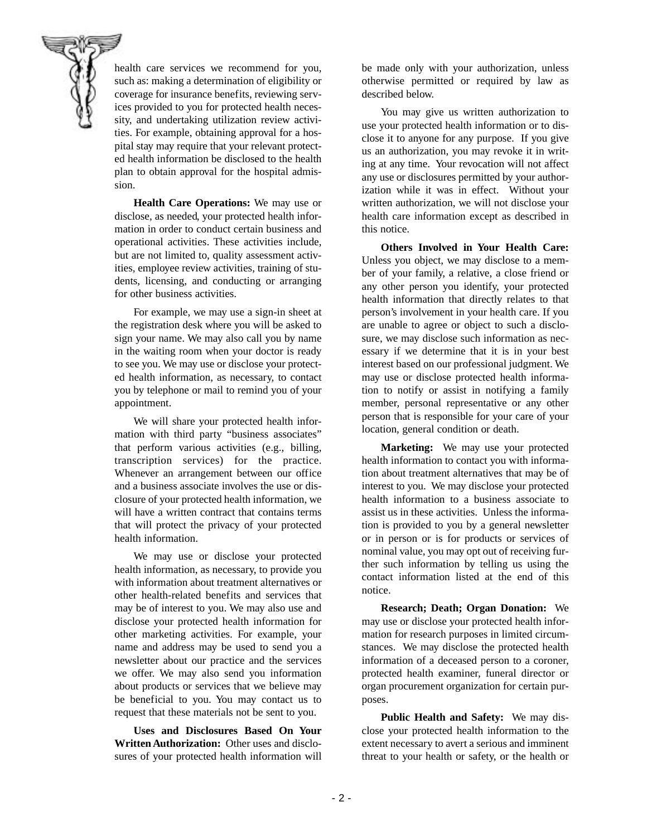

health care services we recommend for you, such as: making a determination of eligibility or coverage for insurance benefits, reviewing services provided to you for protected health necessity, and undertaking utilization review activities. For example, obtaining approval for a hospital stay may require that your relevant protected health information be disclosed to the health plan to obtain approval for the hospital admission.

**Health Care Operations:** We may use or disclose, as needed, your protected health information in order to conduct certain business and operational activities. These activities include, but are not limited to, quality assessment activities, employee review activities, training of students, licensing, and conducting or arranging for other business activities.

For example, we may use a sign-in sheet at the registration desk where you will be asked to sign your name. We may also call you by name in the waiting room when your doctor is ready to see you. We may use or disclose your protected health information, as necessary, to contact you by telephone or mail to remind you of your appointment.

We will share your protected health information with third party "business associates" that perform various activities (e.g., billing, transcription services) for the practice. Whenever an arrangement between our office and a business associate involves the use or disclosure of your protected health information, we will have a written contract that contains terms that will protect the privacy of your protected health information.

We may use or disclose your protected health information, as necessary, to provide you with information about treatment alternatives or other health-related benefits and services that may be of interest to you. We may also use and disclose your protected health information for other marketing activities. For example, your name and address may be used to send you a newsletter about our practice and the services we offer. We may also send you information about products or services that we believe may be beneficial to you. You may contact us to request that these materials not be sent to you.

**Uses and Disclosures Based On Your Written Authorization:** Other uses and disclosures of your protected health information will be made only with your authorization, unless otherwise permitted or required by law as described below.

You may give us written authorization to use your protected health information or to disclose it to anyone for any purpose. If you give us an authorization, you may revoke it in writing at any time. Your revocation will not affect any use or disclosures permitted by your authorization while it was in effect. Without your written authorization, we will not disclose your health care information except as described in this notice.

**Others Involved in Your Health Care:** Unless you object, we may disclose to a member of your family, a relative, a close friend or any other person you identify, your protected health information that directly relates to that person's involvement in your health care. If you are unable to agree or object to such a disclosure, we may disclose such information as necessary if we determine that it is in your best interest based on our professional judgment. We may use or disclose protected health information to notify or assist in notifying a family member, personal representative or any other person that is responsible for your care of your location, general condition or death.

**Marketing:** We may use your protected health information to contact you with information about treatment alternatives that may be of interest to you. We may disclose your protected health information to a business associate to assist us in these activities. Unless the information is provided to you by a general newsletter or in person or is for products or services of nominal value, you may opt out of receiving further such information by telling us using the contact information listed at the end of this notice.

**Research; Death; Organ Donation:** We may use or disclose your protected health information for research purposes in limited circumstances. We may disclose the protected health information of a deceased person to a coroner, protected health examiner, funeral director or organ procurement organization for certain purposes.

**Public Health and Safety:** We may disclose your protected health information to the extent necessary to avert a serious and imminent threat to your health or safety, or the health or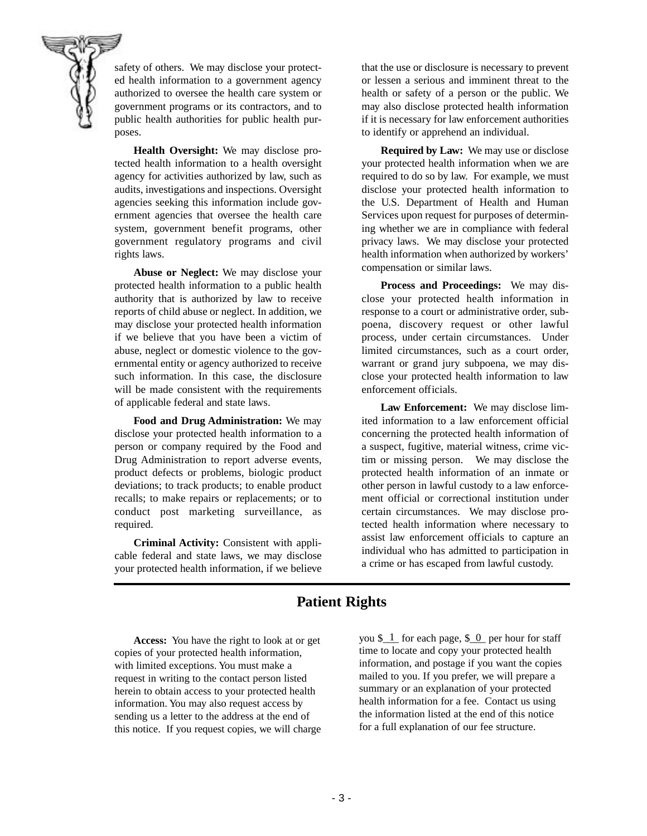

safety of others. We may disclose your protected health information to a government agency authorized to oversee the health care system or government programs or its contractors, and to public health authorities for public health purposes.

**Health Oversight:** We may disclose protected health information to a health oversight agency for activities authorized by law, such as audits, investigations and inspections. Oversight agencies seeking this information include government agencies that oversee the health care system, government benefit programs, other government regulatory programs and civil rights laws.

**Abuse or Neglect:** We may disclose your protected health information to a public health authority that is authorized by law to receive reports of child abuse or neglect. In addition, we may disclose your protected health information if we believe that you have been a victim of abuse, neglect or domestic violence to the governmental entity or agency authorized to receive such information. In this case, the disclosure will be made consistent with the requirements of applicable federal and state laws.

**Food and Drug Administration:** We may disclose your protected health information to a person or company required by the Food and Drug Administration to report adverse events, product defects or problems, biologic product deviations; to track products; to enable product recalls; to make repairs or replacements; or to conduct post marketing surveillance, as required.

**Criminal Activity:** Consistent with applicable federal and state laws, we may disclose your protected health information, if we believe that the use or disclosure is necessary to prevent or lessen a serious and imminent threat to the health or safety of a person or the public. We may also disclose protected health information if it is necessary for law enforcement authorities to identify or apprehend an individual.

**Required by Law:** We may use or disclose your protected health information when we are required to do so by law. For example, we must disclose your protected health information to the U.S. Department of Health and Human Services upon request for purposes of determining whether we are in compliance with federal privacy laws. We may disclose your protected health information when authorized by workers' compensation or similar laws.

**Process and Proceedings:** We may disclose your protected health information in response to a court or administrative order, subpoena, discovery request or other lawful process, under certain circumstances. Under limited circumstances, such as a court order, warrant or grand jury subpoena, we may disclose your protected health information to law enforcement officials.

**Law Enforcement:** We may disclose limited information to a law enforcement official concerning the protected health information of a suspect, fugitive, material witness, crime victim or missing person. We may disclose the protected health information of an inmate or other person in lawful custody to a law enforcement official or correctional institution under certain circumstances. We may disclose protected health information where necessary to assist law enforcement officials to capture an individual who has admitted to participation in a crime or has escaped from lawful custody.

## **Patient Rights**

**Access:** You have the right to look at or get copies of your protected health information, with limited exceptions. You must make a request in writing to the contact person listed herein to obtain access to your protected health information. You may also request access by sending us a letter to the address at the end of this notice. If you request copies, we will charge

you  $\frac{1}{2}$  for each page,  $\frac{0}{2}$  per hour for staff time to locate and copy your protected health information, and postage if you want the copies mailed to you. If you prefer, we will prepare a summary or an explanation of your protected health information for a fee. Contact us using the information listed at the end of this notice for a full explanation of our fee structure.